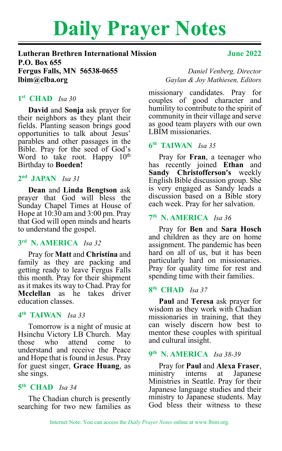# **Daily Prayer Notes**

#### **Lutheran Brethren International Mission June 2022 P.O. Box 655 Fergus Falls, MN 56538-0655** *Daniel Venberg, Director* **lbim@clba.org** *Gaylan & Joy Mathiesen, Editors*

# **1st CHAD** *Isa 30*

**David** and **Sonja** ask prayer for their neighbors as they plant their fields. Planting season brings good opportunities to talk about Jesus' parables and other passages in the Bible. Pray for the seed of God's Word to take root. Happy  $10^{th}$ Birthday to **Boeden!**

#### **2nd JAPAN** *Isa 31*

**Dean** and **Linda Bengtson** ask prayer that God will bless the Sunday Chapel Times at House of Hope at 10:30 am and 3:00 pm. Pray that God will open minds and hearts to understand the gospel.

# **3rd N. AMERICA** *Isa 32*

Pray for **Matt** and **Christina** and family as they are packing and getting ready to leave Fergus Falls this month. Pray for their shipment as it makes its way to Chad. Pray for **Mcclellan** as he takes driver education classes.

#### **4th TAIWAN** *Isa 33*

Tomorrow is a night of music at Hsinchu Victory LB Church. May those who attend come to understand and receive the Peace and Hope that is found in Jesus. Pray for guest singer, **Grace Huang**, as she sings.

# **5th CHAD** *Isa 34*

The Chadian church is presently searching for two new families as

missionary candidates. Pray for couples of good character and humility to contribute to the spirit of community in their village and serve as good team players with our own LBIM missionaries.

# **6th TAIWAN** *Isa 35*

Pray for **Fran**, a teenager who has recently joined **Ethan** and **Sandy Christofferson's** weekly English Bible discussion group. She is very engaged as Sandy leads a discussion based on a Bible story each week. Pray for her salvation.

# **7th N. AMERICA** *Isa 36*

Pray for **Ben** and **Sara Hosch**  and children as they are on home assignment. The pandemic has been hard on all of us, but it has been particularly hard on missionaries. Pray for quality time for rest and spending time with their families.

#### **8th CHAD** *Isa 37*

**Paul** and **Teresa** ask prayer for wisdom as they work with Chadian missionaries in training, that they can wisely discern how best to mentor these couples with spiritual and cultural insight.

# **9th N. AMERICA** *Isa 38-39*

Pray for **Paul** and **Alexa Fraser**, ministry interns at Japanese Ministries in Seattle. Pray for their Japanese language studies and their ministry to Japanese students. May God bless their witness to these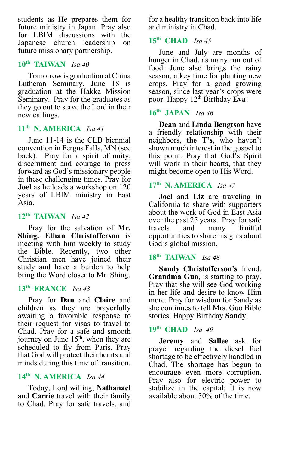students as He prepares them for future ministry in Japan. Pray also for LBIM discussions with the Japanese church leadership on future missionary partnership.

#### **10th TAIWAN** *Isa 40*

Tomorrow is graduation at China Lutheran Seminary. June 18 is graduation at the Hakka Mission Seminary. Pray for the graduates as they go out to serve the Lord in their new callings.

#### **11th N. AMERICA** *Isa 41*

June 11-14 is the CLB biennial convention in Fergus Falls, MN (see<br>back). Pray for a spirit of unity, discernment and courage to press forward as God's missionary people in these challenging times. Pray for **Joel** as he leads a workshop on 120 years of LBIM ministry in East Asia.

#### **12th TAIWAN** *Isa 42*

Pray for the salvation of **Mr. Shing. Ethan Christofferson** is meeting with him weekly to study the Bible. Recently, two other Christian men have joined their study and have a burden to help bring the Word closer to Mr. Shing.

#### **13th FRANCE** *Isa 43*

Pray for **Dan** and **Claire** and children as they are prayerfully awaiting a favorable response to their request for visas to travel to Chad. Pray for a safe and smooth journey on June  $15<sup>th</sup>$ , when they are scheduled to fly from Paris. Pray that God will protect their hearts and minds during this time of transition.

#### **14th N. AMERICA** *Isa 44*

Today, Lord willing, **Nathanael** and **Carrie** travel with their family to Chad. Pray for safe travels, and

for a healthy transition back into life and ministry in Chad.

#### **15th CHAD** *Isa 45*

June and July are months of hunger in Chad, as many run out of food. June also brings the rainy season, a key time for planting new crops. Pray for a good growing season, since last year's crops were poor. Happy 12th Birthday **Eva**!

#### **16th JAPAN** *Isa 46*

**Dean** and **Linda Bengtson** have a friendly relationship with their neighbors, **the T's**, who haven't shown much interest in the gospel to this point. Pray that God's Spirit will work in their hearts, that they might become open to His Word.

# **17th N. AMERICA** *Isa 47*

**Joel** and **Liz** are traveling in California to share with supporters about the work of God in East Asia over the past 25 years. Pray for safe travels and many fruitful opportunities to share insights about God's global mission.

#### **18th TAIWAN** *Isa 48*

**Sandy Christofferson's** friend, **Grandma Guo**, is starting to pray. Pray that she will see God working in her life and desire to know Him more. Pray for wisdom for Sandy as she continues to tell Mrs. Guo Bible stories. Happy Birthday **Sandy**.

#### **19th CHAD** *Isa 49*

**Jeremy** and **Sallee** ask for prayer regarding the diesel fuel shortage to be effectively handled in Chad. The shortage has begun to encourage even more corruption. Pray also for electric power to stabilize in the capital; it is now available about 30% of the time.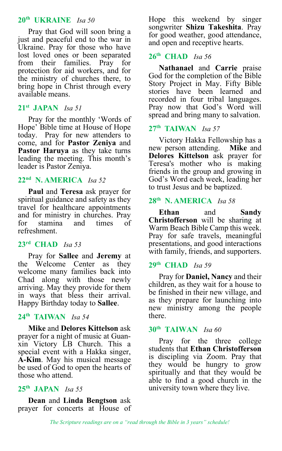#### **20th UKRAINE** *Isa 50*

Pray that God will soon bring a just and peaceful end to the war in Ukraine. Pray for those who have lost loved ones or been separated from their families. Pray for protection for aid workers, and for the ministry of churches there, to bring hope in Christ through every available means.

#### **21st JAPAN** *Isa 51*

Pray for the monthly 'Words of Hope' Bible time at House of Hope today. Pray for new attenders to come, and for **Pastor Zeniya** and **Pastor Haruya** as they take turns leading the meeting. This month's leader is Pastor Zeniya.

#### **22nd N. AMERICA** *Isa 52*

**Paul** and **Teresa** ask prayer for spiritual guidance and safety as they travel for healthcare appointments and for ministry in churches. Pray for stamina and times of refreshment.

#### **23rd CHAD** *Isa 53*

Pray for **Sallee** and **Jeremy** at the Welcome Center as they welcome many families back into Chad along with those newly arriving. May they provide for them in ways that bless their arrival. Happy Birthday today to **Sallee**.

#### **24th TAIWAN** *Isa 54*

**Mike** and **Delores Kittelson** ask xin Victory LB Church. This a special event with a Hakka singer, **A-Kim**. May his musical message be used of God to open the hearts of those who attend.

#### **25th JAPAN** *Isa 55*

**Dean** and **Linda Bengtson** ask prayer for concerts at House of

Hope this weekend by singer songwriter **Shizu Takeshita**. Pray for good weather, good attendance, and open and receptive hearts.

#### **26th CHAD** *Isa 56*

**Nathanael** and **Carrie** praise God for the completion of the Bible Story Project in May. Fifty Bible stories have been learned and recorded in four tribal languages. Pray now that God's Word will spread and bring many to salvation.

#### **27th TAIWAN** *Isa 57*

Victory Hakka Fellowship has a new person attending. **Mike** and **Delores Kittelson** ask prayer for Teresa's mother who is making friends in the group and growing in God's Word each week, leading her to trust Jesus and be baptized.

#### **28th N. AMERICA** *Isa 58*

**Ethan** and **Sandy Christofferson** will be sharing at Warm Beach Bible Camp this week. Pray for safe travels, meaningful presentations, and good interactions with family, friends, and supporters.

#### **29th CHAD** *Isa 59*

Pray for **Daniel, Nancy** and their children, as they wait for a house to be finished in their new village, and as they prepare for launching into new ministry among the people there.

#### **30th TAIWAN** *Isa 60*

Pray for the three college students that **Ethan Christofferson** is discipling via Zoom. Pray that they would be hungry to grow spiritually and that they would be able to find a good church in the university town where they live.